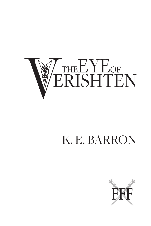

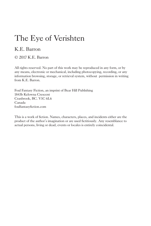# The Eye of Verishten

## K.E. Barron

© 2017 K.E. Barron

All rights reserved. No part of this work may be reproduced in any form, or by any means, electronic or mechanical, including photocopying, recording, or any information browsing, storage, or retrieval system, without permission in writing from K.E. Barron.

Foul Fantasy Fiction, an imprint of Bear Hill Publishing 1843b Kelowna Crescent Cranbrook, BC. V1C 6L6 Canada foulfantasyfiction.com

This is a work of fiction. Names, characters, places, and incidents either are the product of the author's imagination or are used fictitiously. Any resemblance to actual persons, living or dead, events or locales is entirely coincidental.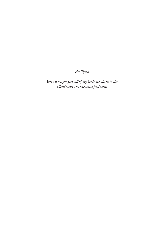### *For Tyson*

*Were it not for you, all of my books would be in the Cloud where no one could find them*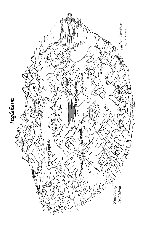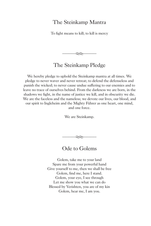# The Steinkamp Mantra

To fight means to kill; to kill is mercy



## The Steinkamp Pledge

We hereby pledge to uphold the Steinkamp mantra at all times. We pledge to never waver and never retreat; to defend the defenseless and punish the wicked; to never cause undue suffering to our enemies and to leave no trace of ourselves behind. From the darkness we are born, in the shadows we fight, in the name of justice we kill, and in obscurity we die. We are the faceless and the nameless; we devote our lives, our blood, and our spirit to Ingleheim and the Mighty Führer as one heart, one mind, and one force.

We are Steinkamp.



### Ode to Golems

Golem, take me to your land Spare me from your powerful hand Give yourself to me, then we shall be free Golem, find me, here I stand. Golem, your eye, I see through Let me show you what we can do Blessed by Verishten, you are of my kin Golem, hear me, I am you.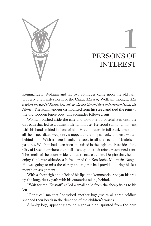



Kommandeur Wolfram and his two comrades came upon the old farm property a few miles north of the Crags. *This is it,* Wolfram thought. *This is where the Earl of Kensloche is hiding, the last Golem Mage in Ingleheim besides the Führer.* The kommandeur dismounted from his steed and tied the reins to the old wooden fence post. His comrades followed suit.

Wolfram pushed aside the gate and took one purposeful step onto the dirt path that led to a quaint little farmhouse. He stood still for a moment with his hands folded in front of him. His comrades, in full black armor and all their specialized weaponry strapped to their hips, back, and legs, waited behind him. With a deep breath, he took in all the scents of Ingleheim pastures. Wolfram had been born and raised in the high-end Eastside of the City of Deschner where the smell of sheep and their refuse was nonexistent. The smells of the countryside tended to nauseate him. Despite that, he did enjoy the lower-altitude, ash-free air of the Kensloche Mountain Range. He was going to miss the clarity and vigor it had provided during his last month on assignment.

With a short sigh and a lick of his lips, the kommandeur began his trek up the long, dusty path with his comrades tailing behind.

"Wait for me, Kristoff!" called a small child from the sheep fields to his left.

"Don't call me that!" chastised another boy just as all three soldiers snapped their heads in the direction of the children's voices.

A lanky boy, appearing around eight or nine, sprinted from the herd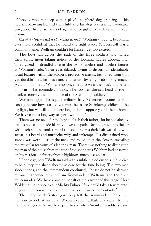of heavily woolen sheep with a playful shepherd dog prancing at his heels. Following behind the child and his dog was a much younger boy, about five or six years of age, who struggled to catch up to his older playmate.

*One of the boys we seek is also named Kristoff,* Wolfram thought, becoming ever more confident that he found the right place. Yet, Kristoff was a common name. Wolfram couldn't let himself get too excited.

The boys ran across the path of the three soldiers and halted their sprint upon taking notice of the looming figures approaching. They gazed in dreadful awe at the two shapeless and faceless figures at Wolfram's side. Their eyes dilated, trying to discern an identifiable facial feature within the soldier's protective masks, fashioned from thin yet durable metallic mesh and enchanted by a light-absorbing magic. As a kommandeur, Wolfram no longer had to wear the mask and belted uniform of his comrades, although he too was dressed head to toe in black to convey the dominance of the Steinkamp soldier.

Wolfram tipped his square military hat, "Greetings, young herrs. I can appreciate how startled you must be to see Steinkamp soldiers in the daylight, but we will not be here long. I don't suppose your father is home. We have come a long way to speak with him."

There was no need for the boys to fetch their father, for he had already left his house and made his way down the path. Dust billowed into the air with each step he took toward the soldiers. His dark hair was slick with sweat, his beard and mustache wiry and unkempt. His dirt-stained wool smock was worn loose at the neck and rolled up at the sleeves, revealing the muscular forearms of a laboring man. There was nothing to distinguish the man of the house from the rest of the shepherds Wolfram had observed on his mission—a far cry from a highborn, much less an earl.

"Good day, herr," Wolfram said with a subtle melodiousness in his voice to help keep the sheep-shearer at ease for the time being. The two men shook hands, and the kommandeur continued, "Please do not be alarmed by our unannounced visit. I am Kommandeur Wolfram, and these are my comrades. We have come on behalf of the kanzler of this range, Herr Waldemar, in service to our Mighty Führer. If we could take a few minutes of your time, you will be able to return to your work momentarily."

The sheep herder's steel gaze only left the kommandeur for a brief moment to look at his boys. Wolfram caught a flash of concern behind the man's eyes as he would expect to see when Steinkamp soldiers came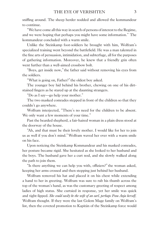sniffing around. The sheep herder nodded and allowed the kommandeur to continue.

"We have come all this way in search of persons of interest to the Regime, and we were hoping that perhaps you might have some information." The kommandeur concluded with a warm smile.

Unlike the Steinkamp foot-soldiers he brought with him, Wolfram's specialized training went beyond the battlefield. He was a man talented in the fine arts of persuasion, intimidation, and subterfuge, all for the purposes of gathering information. Moreover, he knew that a friendly grin often went further than a well-aimed crossbow bolt.

"Boys, get inside now," the father said without removing his eyes from the soldiers.

"What is going on, Father?" the oldest boy asked.

The younger boy hid behind his brother, chewing on one of his dirtstained fingers as he stared up at the daunting strangers.

"Do as I say—go help your mother."

The two masked comrades stepped in front of the children so that they couldn't go anywhere.

Wolfram interjected, "There's no need for the children to be absent. We only want a few moments of your time."

Past the bearded shepherd, a fair-haired woman in a plain dress stood at the doorway of the house.

"Ah, and that must be their lovely mother. I would like for her to join us as well if you don't mind." Wolfram waved her over with a warm smile on his face.

Upon noticing the Steinkamp Kommandeur and his masked comrades, her posture became rigid. She hesitated as she looked to her husband and the boys. The husband gave her a curt nod, and she slowly walked along the path to join them.

"Is there anything we can help you with, offiziers?" the woman asked, keeping her arms crossed and then stepping just behind her husband.

Wolfram removed his hat and placed it on his chest while extending a hand to her in greeting. Wolfram was sure to rub his thumb across the top of the woman's hand, as was the customary greeting of respect among ladies of high status. She curtsied in response, yet her smile was quick and tight-lipped. *She could easily be the wife of an earl, perhaps Frau Anja herself,*  Wolfram thought. If they were the last Golem Mage family on Wolfram's list, then the coveted promotion to Kapitän of the Steinkamp force would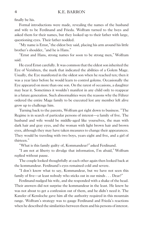finally be his.

Formal introductions were made, revealing the names of the husband and wife to be Ferdinand and Frieda. Wolfram turned to the boys and asked them for their names, but they looked up to their father with large, questioning eyes. Their father nodded.

"My name is Ernst," the eldest boy said, placing his arm around his little brother's shoulder, "and he is Hans."

"Ernst and Hans, strong names for soon to be strong men," Wolfram said.

He eyed Ernst carefully. It was common that the eldest son inherited the Eye of Verishten, the mark that indicated the abilities of a Golem Mage. Usually, the Eye manifested in the oldest son when he reached ten; then it was a year later before he would learn to control golems. Occasionally the Eye appeared on more than one son. On the rarest of occasions, a daughter may bear it. Sometimes it wouldn't manifest in any child only to reappear in a future generation. Such abnormalities were the reasons why the Führer ordered the entire Mage family to be executed lest any member left alive grow up to challenge him.

Turning back to the parents, Wolfram got right down to business. "The Regime is in search of particular persons of interest—a family of five. The husband and wife would be middle-aged like yourselves, the man with dark hair and gray eyes, and the woman with light brown hair and brown eyes, although they may have taken measures to change their appearances. They would be traveling with two boys, years eight and five, and a girl of thirteen."

"What is this family guilty of, Kommandeur?" asked Ferdinand.

"I am not at liberty to divulge that information, I'm afraid," Wolfram replied without pause.

The couple looked thoughtfully at each other again then looked back at the kommandeur. Ferdinand's eyes remained cold and severe.

"I don't know what to say, Kommandeur, but we have not seen this family of five—at least nobody who sticks out in our minds . . . Dear?"

Ferdinand nudged his wife, and she responded with a shake of the head. Their answers did not surprise the kommandeur in the least. He knew he was not about to get a confession out of them, and he didn't need it. The Kanzler of Kensloche gave him all the authority required in this mountain range. Wolfram's strategy was to gauge Ferdinand and Frieda's reactions when he described the similarities between them and his persons of interest.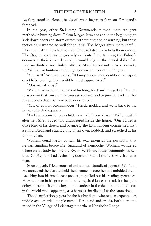As they stood in silence, beads of sweat began to form on Ferdinand's forehead.

In the past, other Steinkamp Kommandeurs used more stringent methods in hunting down Golem Mages. It was easier, in the beginning, to kick down doors and storm estates without question or warning, but those tactics only worked so well for so long. The Mages grew more careful. They went deep into hiding and often used decoys to help them escape. The Regime could no longer rely on brute force to bring the Führer's enemies to their knees. Instead, it would rely on the honed skills of its most methodical and vigilant officers. Absolute certainty was a necessity for Wolfram in hunting and bringing down enemies of the Regime.

"Very well." Wolfram sighed. "If I may review your identification papers quickly before I go, that would be much appreciated."

"May we ask why?"

Wolfram adjusted the sleeves of his long, black military jacket. "For me to ascertain that you are who you say you are, and to provide evidence for my superiors that you have been questioned."

"Yes, of course, Kommandeur." Frieda nodded and went back to the house to fetch the papers.

"And documents for your children as well, if you please," Wolfram called after her. She nodded and disappeared inside the house. "Our Führer is quite fond of his checks and balances," the kommandeur commented with a smile. Ferdinand strained one of his own, nodded, and scratched at his thinning hair.

Wolfram could hardly contain his excitement at the possibility that he was standing before Earl Sigmund of Kensloche. Wolfram wondered where on his body he bore the Eye of Verishten. It was commonly known that Earl Sigmund had it; the only question was if Ferdinand was that same man.

Soon enough, Frieda returned and handed a bundle of papers to Wolfram. He unraveled the ties that held the documents together and unfolded them. Reaching into his inside coat pocket, he pulled out his reading spectacles. He was a man in his prime and hardly required lenses to read, but he quite enjoyed the duality of being a kommandeur in the deadliest military force in the world while appearing as a harmless intellectual at the same time.

The identification papers for the husband and wife read as expected. A middle-aged married couple named Ferdinand and Frieda, both born and raised in the Village of Leichstag in northern Kensloche Range.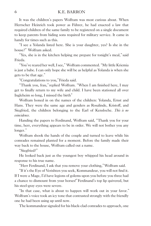It was the children's papers Wolfram was most curious about. When Herrscher Heinrich took power as Führer, he had enacted a law that required children of the same family to be registered on a single document to keep parents from hiding sons required for military service. It came in handy for times such as this.

"I see a Yolanda listed here. She is your daughter, yes? Is she in the house?" Wolfram asked.

"Yes, she is in the kitchen helping me prepare for tonight's meal," said Frieda.

"You've reared her well, I see," Wolfram commented. "My little Kriemia is just a babe. I can only hope she will be as helpful as Yolanda is when she gets to be that age."

"Congratulations to you," Frieda said.

"Thank you, frau," replied Wolfram. "When I am finished here, I may get to finally return to my wife and child. I have been stationed all over Ingleheim so long, I missed the birth"

Wolfram honed in on the names of the children: Yolanda, Ernst and Hans. They were the same age and genders as Rosalinde, Kristoff, and Siegfried, the children belonging to the Earl of Kensloche. *This is no coincidence.*

Handing the papers to Ferdinand, Wolfram said, "Thank you for your time, herr, everything appears to be in order. We will not bother you any longer."

Wolfram shook the hands of the couple and turned to leave while his comrades remained planted for a moment. Before the family made their way back to the house, Wolfram called out a name.

"Siegfried?"

He looked back just as the youngest boy whipped his head around in response to his true name.

"Herr Ferdinand, I ask that you remove your clothing," Wolfram said.

"If it's the Eye of Verishten you seek, Kommandeur, you will not find it. If I were a Mage, I'd have legions of golems upon you before you three had a chance to dismount from your horses!" Ferdinand's top lip quivered, but his steel-gray eyes were severe.

"In that case, what is about to happen will work out in your favor." Wolfram's voice took an icy tone that contrasted strongly with the friendly one he had been using up until now.

The kommandeur signaled for his black-clad comrades to approach, one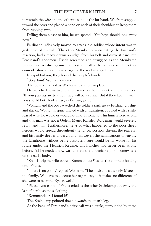to restrain the wife and the other to subdue the husband. Wolfram stepped toward the boys and placed a hand on each of their shoulders to keep them from running away.

Pulling them closer to him, he whispered, "You boys should look away now."

Ferdinand reflexively moved to attack the soldier whose intent was to grab hold of his wife. The other Steinkamp, anticipating the husband's reaction, had already drawn a cudgel from his belt and drove it hard into Ferdinand's abdomen. Frieda screamed and struggled as the Steinkamp pushed her face-first against the western wall of the farmhouse. The other comrade shoved her husband against the wall alongside her.

In rapid fashion, they bound the couple's hands.

"Strip him!" Wolfram ordered.

The boys screamed as Wolfram held them in place.

He crouched down to offer them some comfort under the circumstances. "If your parents are truthful, they will be just fine. But if they lied . . . well, you should both look away, as I've suggested."

Wolfram and the boys watched the soldiers slash away Ferdinand's shirt and slacks. Wolfram's spine tingled with anticipation, coupled with a slight fear of what he would or would not find. If somehow his hunch were wrong and this man was not a Golem Mage, Kanzler Waldemar would severely reprimand him. Furthermore, news of what happened to the poor sheep herders would spread throughout the range, possibly driving the real earl and his family deeper underground. However, the ramifications of leaving the farmhouse without being absolutely sure would be far worse for his future under the Heinrich Regime. His hunches had never been wrong before. All he needed now was to view the undeniable proof somewhere on the earl's body.

"Shall I strip the wife as well, Kommandeur?" asked the comrade holding onto Frieda.

"There is no point," replied Wolfram. "The husband is the only Mage in the family. We have to execute her regardless, so it makes no difference if she were to bear the Eye as well."

"Please, you can't—" Frieda cried as the other Steinkamp cut away the last of her husband's clothing.

"Kommandeur, I found it!"

The Steinkamp pointed down towards the man's leg.

At the back of Ferdinand's hairy calf was a circle, surrounded by three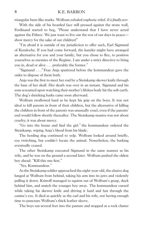triangular burn-like marks. Wolfram exhaled euphoric relief. *It is finally over.*

With the side of his bearded face still pressed against the stone wall, Ferdinand started to beg, "Please understand that I have never acted against the Führer. We just want to live out the rest of our days in peace show mercy for the sake of our children!"

"I'm afraid it is outside of my jurisdiction to offer such, Earl Sigmund of Kensloche. If you had come forward, the kanzler might have arranged an alternative for you and your family, but you chose to flee, to position yourselves as enemies of the Regime. I am under a strict directive to bring you in, dead or alive . . . preferably the former."

"Sigmund . . ." Frau Anja sputtered before the kommandeur gave the order to dispose of them both.

Anja was the first to meet her end by a Steinkamp skewer knife through the base of her skull. Her death was over in an instant. Sigmund and his sons screamed upon watching their mother's lifeless body hit the soft earth. The dog's shrieking barks came soon afterward.

Wolfram swallowed hard as he kept his grip on the boys. It was not ideal to kill parents in front of their children, but the alternative of killing the children in front of the parents was unusually cruel, even if the parents' end would follow shortly thereafter. The Steinkamp mantra was not about cruelty; it was about mercy.

"Go into the house and find the girl." the kommandeur ordered the Steinkamp, wiping Anja's blood from his blade.

The herding dog continued to yelp. Wolfram looked around briefly, eye twitching, but couldn't locate the animal. Nonetheless, the barking eventually ceased.

The other Steinkamp executed Sigmund in the same manner as his wife, and he was on the ground a second later. Wolfram pushed the oldest boy ahead. "Kill this one first."

"Yes, Kommandeur."

As the Steinkamp soldier approached the eight-year-old, the elusive dog lunged at Wolfram from behind, taking his arm into its jaws and violently pulling it down. Kristoff managed to squirm out of Wolfram's grasp, duck behind him, and snatch the younger boy away. The kommandeur cursed while taking his skewer knife and driving it hard and fast through the canine's eye. It died as quickly as the earl and his wife, not having enough time to puncture Wolfram's thick leather sleeve.

The boys ran several feet into the pasture and stopped at a rock cluster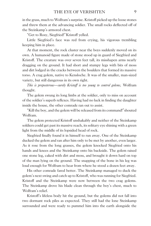in the grass, much to Wolfram's surprise. Kristoff picked up the loose stones and threw them at the advancing soldier. The small rocks deflected off of the Steinkamp's armored chest.

"Get to Rosy, Siegfried!" Kristoff yelled.

Little Siegfried's face was red from crying, his vigorous trembling keeping him in place.

At that moment, the rock cluster near the boys suddenly moved on its own. A humanoid figure made of stone stood up in guard of Siegfried and Kristoff. The creature was over seven feet tall, its misshapen arms nearly dragging on the ground. It had short and stumpy legs with bits of moss and dirt lodged in the cracks between the boulders that formed its massive torso. A crag golem, native to Kensloche. It was of the smaller, man-sized variety, but still dangerous in its own right.

*This is preposterous—surely Kristoff is too young to control golems,* Wolfram thought.

The golem swung its long limbs at the soldier, only to miss on account of the soldier's superb reflexes. Having had no luck in finding the daughter inside the house, the other comrade ran out to assist.

"Kill the boy, and the golem will be released from its command!" shouted Wolfram.

The golem protected Kristoff unshakably and neither of the Steinkamp soldiers could get past its massive reach, its solitary eye shining with a green light from the middle of its lopsided head of rock.

Siegfried finally found it in himself to run away. One of the Steinkamp ducked the golem and ran after him only to be met by another, even larger. As it rose from the long grasses, the golem knocked Siegfried onto his hands and knees and the Steinkamp onto his backside. The golem raised one stone leg, caked with dirt and moss, and brought it down hard on top of the man lying on the ground. The snapping of the bone in his leg was loud enough for Wolfram to hear from where he stood a dozen feet away.

His other comrade fared better. The Steinkamp managed to duck the golem's next swing and catch up to Kristoff, who was running for Siegfried. Kristoff and the Steinkamp were now between the two crag golems. The Steinkamp drove his blade clean through the boy's chest, much to Wolfram's relief.

Kristoff's lifeless body hit the ground, but the golems did not fall into two dormant rock piles as expected. They still had the lone Steinkamp surrounded and were ready to pummel him into the earth alongside the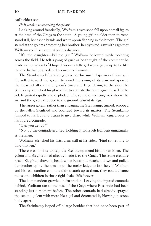earl's eldest son.

*He is not the one controlling the golems!*

Looking around frantically, Wolfram's eyes soon fell upon a small figure at the base of the Crags to the south. A young girl no older than thirteen stood still, her ashen braids and white apron flapping in the breeze. The girl stared at the golems protecting her brother, her eyes red, raw with rage that Wolfram could see even at such a distance.

"It's the daughter—kill the girl!" Wolfram bellowed while pointing across the field. He felt a pang of guilt as he thought of the comment he made earlier when he'd hoped his own little girl would grow up to be like the one he had just ordered his men to eliminate.

The Steinkamp left standing took out his small dispenser of blast gel. He rolled toward the golem to avoid the swing of its arm and sprayed the clear gel all over the golem's torso and legs. Diving to the side, the Steinkamp clenched his gloved fist to activate the fire magic infused in the gel. It ignited rapidly and exploded. The sound of splitting rock shook the air, and the golem dropped to the ground, absent its legs.

The larger golem, rather than engaging the Steinkamp, turned, scooped up the fallen Siegfried and bounded toward its master. The Steinkamp jumped to his feet and began to give chase while Wolfram jogged over to his injured comrade.

"Can you get up?"

"No . . ." the comrade grunted, holding onto his left leg, bent unnaturally at the knee.

Wolfram clenched his fists, arms stiff at his sides. "Find something to bind that leg."

There was no time to help the Steinkamp mend his broken knee. The golem and Siegfried had already made it to the Crags. The stone creature raised Siegfried above its head, while Rosalinde reached down and pulled her brother up by the arms onto the rocky ledge to join her. If Wolfram and his last standing comrade didn't catch up to them, they could chance to lose the children in those rigid shale cliffs forever.

The kommandeur growled in frustration. Leaving the injured comrade behind, Wolfram ran to the base of the Crags where Rosalinde had been standing just a moment before. The other comrade had already sprayed the second golem with more blast gel and detonated it, blowing its stone body apart.

The Steinkamp leaped off a large boulder that had once been part of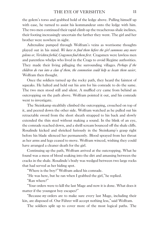the golem's torso and grabbed hold of the ledge above. Pulling himself up with ease, he turned to assist his kommandeur onto the ledge with him. The two men continued their rapid climb up the treacherous shale inclines, their footing increasingly uncertain the farther they went. The girl and her brother were nowhere in sight.

Adrenaline pumped through Wolfram's veins as worrisome thoughts played out in his mind. *We have to find them before the girl summons any more golems or, Verishten forbid, Cragsmen find them first.* Cragsmen were lawless men and parentless whelps who lived in the Crags to avoid Regime authorities. They made their living pillaging the surrounding villages. *Perhaps if the children do run into a clan of them, the commotion could help us locate them easier,*  Wolfram then thought.

Once the soldiers turned up the rocky path, they heard the faintest of squeaks. He halted and held out his arm for his comrade to do the same. The two men stood still and silent. A muffled cry came from behind an outcropping on the path above. Wolfram pointed it out, and his comrade went to investigate.

The Steinkamp stealthily climbed the outcropping, crouched on top of it, and peered down the other side. Wolfram watched as he pulled out his retractable sword from the short sheath strapped to his back and slowly extended the thin steel without making a sound. In the blink of an eye, the comrade reached down, and a shrill scream bounced off the shale cliffs. Rosalinde kicked and shrieked furiously in the Steinkamp's grasp right before his blade silenced her permanently. Blood sprayed from her throat as her arms and legs ceased to move. Wolfram winced, wishing they could have arranged a cleaner death for the girl.

Continuing up the path, Wolfram arrived at the outcropping. What he found was a mess of blood soaking into the dirt and amassing between the cracks in the shale. Rosalinde's body was wedged between two large rocks that had served as her hiding spot.

"Where is the boy?" Wolfram asked his comrade.

"He was here, but he ran when I grabbed the girl," he replied.

"Ran where?"

"Your orders were to kill the last Mage and now it is done. What does it matter if the youngest boy escapes?"

"Because *my* orders are to make sure every last Mage, including their kin, are disposed of. Our Führer will accept nothing less," said Wolfram.

The soldiers split up to cover more of the most logical paths. The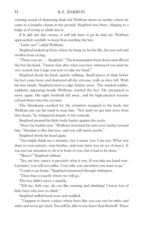echoing sound of shattering shale led Wolfram down an incline where he came to a lengthy chasm in the ground. Siegfried was there, clinging to a ledge as if trying to climb into it.

*If he falls into that crevasse, it will take hours to get his body out.* Wolfram approached carefully to keep from startling the boy.

"Little one?" called Wolfram.

Siegfried looked up from where he hung on for his life, his eyes red and swollen from crying.

"There you are . . . Siegfried." The kommandeur bent down and offered the boy his hand. "I know that after what you have witnessed you must be very scared, but I urge you now to take my hand."

Siegfried shook his head, quietly sobbing. Small pieces of shale below his feet came loose and shattered off the crevasse walls as they fell. With his tiny hands, Siegfried tried to edge further away. The masked soldier, suddenly appearing beside Wolfram, startled the boy. He attempted to move again. His right foothold fell away, and his high-pitched screams echoed down into the crevasse.

The Steinkamp reached for the crossbow strapped to his back, but Wolfram put out his hand to stop him. "Not until we get him away from this chasm," he whispered sharply to his comrade.

Siegfried pressed his little body harder against the rocks.

"Don't be foolish now." Wolfram stretched his arm even farther toward him. "Attempt to flee this way, and you will surely perish."

Siegfried shook his head again.

"You might think me a monster, but I assure you, I am not. What was done to your parents, your brother, and your sister was an act of mercy. It was not our intention to do it in front of you, but it had to be done."

"Mercy?" Siegfried sobbed.

"Yes, my boy, mercy is precisely what it was. If you take my hand now, I promise, you will not suffer. I can take you anywhere you want to go."

"I want to go home," Siegfried murmured through whimpers.

"Then that is exactly where we will go."

The boy didn't move a muscle.

"Tell me, little one, do you like running and climbing? I know lots of little boys who love to climb."

Siegfried sniffed back tears and nodded.

"I happen to know a place where boys like you can run for miles and miles and never get tired. You will be able to run faster than Kristoff. There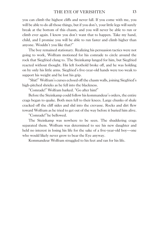you can climb the highest cliffs and never fall. If you come with me, you will be able to do all those things, but if you don't, your little legs will surely break at the bottom of this chasm, and you will never be able to run or climb ever again. I know you don't want that to happen. Take my hand, child, and I promise you will be able to run faster and climb higher than anyone. Wouldn't you like that?"

The boy remained stationary. Realizing his persuasion tactics were not going to work, Wolfram motioned for his comrade to circle around the rock that Siegfried clung to. The Steinkamp lunged for him, but Siegfried reacted without thought. His left foothold broke off, and he was holding on by only his little arms. Siegfried's five-year-old hands were too weak to support his weight and he lost his grip.

"Shit!" Wolfram's curses echoed off the chasm walls, joining Siegfried's high-pitched shrieks as he fell into the blackness.

"Comrade!" Wolfram barked. "Go after him!"

Before the Steinkamp could follow his kommandeur's orders, the entire crags began to quake. Both men fell to their knees. Large chunks of shale cracked off the cliff sides and slid into the crevasse. Rocks and dirt flew toward Wolfram as he tried to get out of the way before it buried him alive.

"Comrade!" he bellowed.

The Steinkamp was nowhere to be seen. The shuddering crags separated them. Wolfram was determined to see his new daughter and held no interest in losing his life for the sake of a five-year-old boy—one who would likely never grow to bear the Eye anyway.

Kommandeur Wolfram struggled to his feet and ran for his life.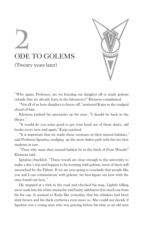# ODE TO GOLEMS (Twenty years later) **2**



"Why again, Professor, are we freezing our danglers off to study golems outside that we already have in the laboratory?" Klemens complained.

"Not all of us have danglers to freeze off," muttered Katja as she trudged ahead of him.

Klemens pushed his spectacles up his nose. "I should be back in the library."

"It would do you some good to get your head out of those dusty, old books every now and again," Katja rejoined.

"It is important that we study these creatures in their natural habitats," said Professor Ignatius, trudging up the snow-laden path with his two best students in tow.

"Then why must their natural habitat be in the thick of Frost Woods?" Klemens said.

Ignatius chuckled. "These woods are close enough to the university to make a day's trip and happen to be teeming with golems, most of them still untouched by the Führer. If we are ever going to conclude that people like you and I can communicate with golems, we best figure out how with the ones found out here."

He stopped at a fork in the road and checked his map. Lightly falling snow sank into his white mustache and bushy sideburns that stuck out from his fur cap. It seemed to Katja like yesterday that his whiskers had been dark brown and his thick eyebrows even more so. She could not decide if Ignatius was a young man who was graying before his time or an old man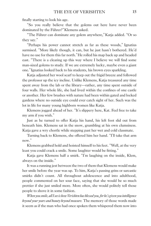finally starting to look his age.

"So you really believe that the golems out here have never been dominated by the Führer?" Klemens asked.

"The Führer can dominate any golem anywhere," Katja added. "Or so they say."

"Perhaps his power cannot stretch as far as these woods," Ignatius surmised. "More likely though, it can, but he just hasn't bothered. He'd have no use for them this far north." He rolled his map back up and headed east. "There is a clearing up this way where I believe we will find some man-sized golems to study. If we are extremely lucky, maybe even a giant one." Ignatius looked back to his students, his brown eyes sparkling.

Katja adjusted her wool scarf to keep out the frigid breeze and followed the professor up the icy incline. Unlike Klemens, Katja treasured any time spent away from the lab or the library—rather, any time spent outside of four walls. Her whole life, she had lived within the confines of one castle or another. Her few brushes with nature had been within gated and locked gardens where no outside eye could ever catch sight of her. Such was the lot in life for many young highborn women like Katja.

Klemens jogged ahead of her. "It's slippery here, Kat. Feel free to take my arm if you wish."

Just as he turned to offer Katja his hand, his left foot slid out from beneath him. Klemens sat in the snow, grumbling at his own clumsiness. Katja gave a wry chortle while stepping past her wet and cold classmate.

Turning back to Klemens, she offered him her hand. "I'll take that arm now."

Klemens grabbed hold and hoisted himself to his feet. "Well, at the very least you could crack a smile. Some laughter would be fitting."

Katja gave Klemens half a smirk. "I'm laughing on the inside, Klem, always on the inside."

It was a running jest between the two of them that Klemens would make her smile before the year was up. To him, Katja's passing grins or sarcastic smirks didn't count. All throughout adolescence and into adulthood, people commented on her sour face, saying that she would be so much prettier if she just smiled more. More often, she would politely tell those people to shove it in some fashion.

*When you smile, all I see is how Verishten has blessed you, for he's given you intelligence beyond your years and beauty beyond measure.* The memory of those words made it seem as if the man who had once spoken them whispered them now into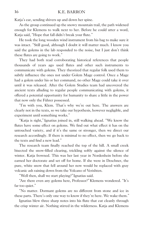Katja's ear, sending shivers up and down her spine.

As the group continued up the snowy mountain trail, the path widened enough for Klemens to walk next to her. Before he could utter a word, Katja said, "Hope that fall didn't break your flute."

He took the long wooden wind instrument from his bag to make sure it was intact. "Still good, although I doubt it will matter much. I know you said the golems in the lab responded to the noise, but I just don't think these flutes are going to work."

They had both read corroborating historical references that people thousands of years ago used flutes and other such instruments to communicate with golems. They theorized that regular folk used them to subtly influence the ones not under Golem Mage control. Once a Mage had a golem under his or her command, no other Mage could take it over until it was released. After the Golem Studies team had uncovered the ancient texts alluding to regular people communicating with golems, it offered a potential opportunity for humanity to share a little in the power that now only the Führer possessed.

"I'm with you, Klem. That's why we're out here. The answers are clearly not in the texts, so we take our hypothesis, however negligible, and experiment until something works."

"Katja is right," Ignatius joined in, still walking ahead. "We know the flutes have some effect on golems. We find out what effect it has on the untouched variety, and if it's the same or stronger, then we direct our research accordingly. If there is minimal to no effect, then we go back to the texts and find a new lead."

The research team finally reached the top of the hill. A small creek bisected the snow-filled clearing, trickling softly against the silence of winter. Katja frowned. This was her last year in Nordenhein before she earned her doctorate and set off for home. If she were in Deschner, the pure, white snow that fell around her now would be replaced with gray volcanic ash raining down from the Volcano of Verishten.

"Well then, shall we start playing?" Ignatius said.

"Are there even any golems here, Professor?" Klemens wondered. "It's far too quiet."

"No matter. Dormant golems are no different from stone and ice in these parts. There's only one way to know if they're here. We wake them."

Ignatius blew three sharp notes into his flute that cut cleanly through the crisp winter air. Nothing stirred in the wilderness. Katja and Klemens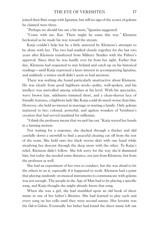joined their flute songs with Ignatius, but still no sign of the scores of golems he claimed were there.

"Perhaps we should fan out a bit more," Ignatius suggested.

"Come with me, Kat. There might be some this way." Klemens beckoned as he made his way toward the stream.

Katja couldn't help but be a little annoyed by Klemens's attempts to be alone with her. The two had studied closely together for the last two years after Klemens transferred from Military Studies with the Führer's approval. Since then he was hardly ever far from her sight. Earlier that day, Klemens had requested to stay behind and catch up on his historical readings—until Katja expressed a keen interest in accompanying Ignatius, and suddenly a winter stroll didn't seem so bad anymore.

There was nothing she found particularly unattractive about Klemens. He was clearly from good highborn stock—polite, well-spoken, and his intellect was unrivalled among scholars at his level. With his spectacles, wavy brown hair, sideburns trimmed short, and a clean-shaven face of friendly features, a highborn lady like Katja could do much worse than him. However, she held no interest in marriage or starting a family. Only golems mattered to her; colossal, powerful, and ageless wonders of Verishten's creation that had served mankind for millennia.

"I think the professor meant that we *each* fan out." Katja waved her hands in a fanning motion.

Not waiting for a response, she ducked through a thicket and slid carefully down a snowhill to find a peaceful clearing cut off from the rest of the team. She held onto her thick woven skirt with one hand while steadying her descent through the deep snow with the other. To Katja's relief, Klemens didn't follow. She felt sorry for the way she'd dismissed him, but today she needed some distance, not just from Klemens, but from the professor as well.

She had an experiment of her own to conduct, but she was afraid to let the others in on it, especially if it happened to work. Klemens had a point that playing randomly on musical instruments to communicate with golems was not enough. The people in the Age of Man had to be playing a specific song, and Katja thought she might already know that song.

When she was a girl, she had stumbled upon an old book of sheet music in one of her father's libraries. She had learned to play each and every song on her cello until they were second nature. Her favorite was the *Ode to Golems.* Eventually her father had found the sheet music left out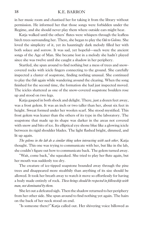in her music room and chastised her for taking it from the library without permission. He informed her that those songs were forbidden under the Regime, and she should never play them where outside ears might hear.

Katia walked until the others' flutes were whispers through the leafless birch trees surrounding her. There, she began to play the *Ode to Golems.* She loved the simplicity of it, yet its hauntingly dark melody filled her with both solace and sorrow. It was sad, yet hopeful—such were the ancient songs of the Age of Man. She became lost in a melody she hadn't played since she was twelve until she caught a shadow in her periphery.

Startled, she spun around to find nothing but a mess of trees and snowcovered rocks with icicle fingers connecting to the ground. She carefully inspected a cluster of soapstone, finding nothing unusual. She continued to play the *Ode* again while wandering around the clearing. When the song finished for the second time, the formation she had just inspected moved. The icicles shattered as one of the snow-covered soapstone boulders rose up and stood on two legs.

Katja gasped in both shock and delight. There, just a dozen feet away, was a frost golem. It was an inch or two taller than her, about six feet in height. Sweat formed under her woolen scarf. She stood mystified. This frost golem was leaner than the others of its type in the laboratory. The soapstone that made up its shape was darker in the areas not covered with snow and bits of ice. Its elliptical eye shone blue like a glowing icicle between its rigid shoulder blades. The light flashed bright, dimmed, and lit up again.

*The golems in the lab do a similar thing when interacting with each other,* Katja thought. This one was trying to communicate with her, but like in the lab, she couldn't figure out how to communicate back. The golem turned away.

"Wait, come back," she squeaked. She tried to play her flute again, but her mouth was suddenly too dry.

The creature of ice-tipped soapstone bounded away through the pine trees and disappeared more stealthily than anything of its size should be allowed. It took her breath away to watch it move so effortlessly for having a body made entirely of rock. *These beings should be respected in fellowship with man, not dominated by them.*

She let out a defeated sigh. Then the shadow returned to her periphery from her other side. She spun around to find nothing yet again. The hairs on the back of her neck stood on end.

"Is someone there?" Katja called out. Her shivering voice billowed as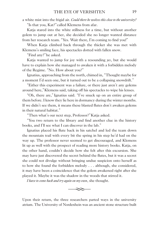a white mist into the frigid air. *Could there be wolves this close to the university?* "Is that you, Kat?" called Klemens from afar.

Katja stared into the white stillness for a time, but without another golem to jump out at her, she decided she no longer wanted distance from her research team. "Yes. Wait there, I'm coming to find you!"

When Katja climbed back through the thicket she was met with Klemens's smiling face, his spectacles dotted with fallen snow.

"Find any?" he asked.

Katja wanted to jump for joy with a resounding *yes*, but she would have to explain how she managed to awaken it with a forbidden melody of the Regime. "No. How about you?"

Ignatius, approaching from the north, chimed in, "Thought maybe for a moment I'd seen one, but it turned out to be a collapsing snowdrift."

"Either this experiment was a failure, or there just aren't any golems around here," Klemens said, taking off his spectacles to wipe his lenses.

"Oh, there are," Ignatius said. "I've snuck up on an entire group of them before. I know they lie here in dormancy during the winter months. If we didn't see them, it means these blasted flutes don't awaken golems in their natural habitat."

"Then what's our next step, Professor?" Katja asked.

"You two return to the library and find another clue in the history books, and I'll see what I can discover in the lab."

Ignatius placed his flute back in his satchel and led the team down the mountain trail with every bit the spring in his step he'd had on the way up. The professor never seemed to get discouraged, and Klemens lit up as well with the prospect of reading more history books. Katja, on the other hand, couldn't decide how she felt after this excursion. She may have just discovered the secret behind the flutes, but it was a secret she could not divulge without bringing undue suspicion onto herself as to how she found the forbidden melody . . . although, she considered, it may have been a coincidence that the golem awakened right after she played it. Maybe it was the shadow in the woods that stirred it.

*I have to come back and try again on my own*, she thought.



Upon their return, the three researchers parted ways in the university atrium. The University of Nordenhein was an ancient stone structure built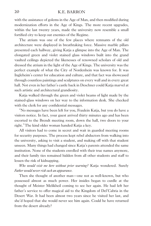with the assistance of golems in the Age of Man, and then modified during modernization efforts in the Age of Kings. The more recent upgrades, within the last twenty years, made the university now resemble a small fortified city to keep out enemies of the Regime.

The atrium was one of the few places where remnants of the old architecture were displayed in breathtaking force. Massive marble pillars presented each hallway, giving Katja a glimpse into the Age of Man. The elongated green and violet stained glass windows built into the grand vaulted ceilings depicted the likenesses of renowned scholars of old and dressed the atrium in the light of the Age of Kings. The university was the perfect example of what the City of Nordenhein was known for. It was Ingleheim's center for education and culture, and that fact was showcased through countless paintings and sculptures on every wall and in every great hall. Not even in her father's castle back in Deschner could Katja marvel at such artistic and architectural grandiosity.

Katja walked through the green and violet beams of light made by the stained-glass windows on her way to the information desk. She checked with the clerk for any confidential messages.

"No messages have been left for you, Fraulein Katja, but you do have a visitors notice. In fact, your guest arrived thirty minutes ago and has been escorted to the Brendt meeting room, down the hall, two doors to your right." The kind older woman handed Katja a key.

All visitors had to come in secret and wait in guarded meeting rooms for security purposes. The process kept rebel abductors from walking into the university, asking to visit a student, and making off with that student unseen. Many things had changed since Katja's parents attended the same institution. None of the students enrolled with their true names anymore, and their family ties remained hidden from all other students and staff to lessen the risk of kidnapping.

*Who would visit me here without prior warning?* Katja wondered. Surely *Father would never risk such an appearance.*

Then she thought of another man—one not as well-known, but who possessed almost as much power. Her insides began to curdle at the thought of Meister Melikheil coming to see her again. He had left her father's service to offer magical aid to the Kingdom of Del'Cabria in the Desert War. It had been almost two years since he visited her last, and she'd hoped that she would never see him again. Could he have returned from the desert already?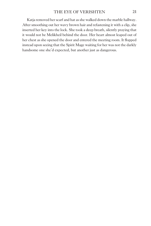Katja removed her scarf and hat as she walked down the marble hallway. After smoothing out her wavy brown hair and refastening it with a clip, she inserted her key into the lock. She took a deep breath, silently praying that it would not be Melikheil behind the door. Her heart almost leaped out of her chest as she opened the door and entered the meeting room. It flopped instead upon seeing that the Spirit Mage waiting for her was not the darkly handsome one she'd expected, but another just as dangerous.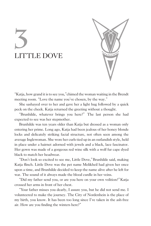# LITTLE DOVE **3**



"Katja, how grand it is to see you," chimed the woman waiting in the Brendt meeting room. "Love the name you've chosen, by the way."

She sashayed over to her and gave her a light hug followed by a quick peck on the cheek. Katja returned the greeting without a thought.

"Brunhilde, whatever brings you here?" The last person she had expected to see was her stepmother.

Brunhilde was ten years older than Katja but dressed as a woman only entering her prime. Long ago, Katja had been jealous of her honey blonde locks and delicately striking facial structure, not often seen among the average Inglewoman. She wore her curls tied up in an outlandish style, held in place under a hairnet adorned with jewels and a black, lace fascinator. Her gown was made of a gorgeous red wine silk with a wolf fur cape dyed black to match her headwear.

"Don't look so excited to see me, Little Dove," Brunhilde said, making Katja flinch. Little Dove was the pet name Melikheil had given her once upon a time, and Brunhilde decided to keep the name alive after he left for war. The sound of it always made the blood curdle in her veins.

"Did my father send you, or are you here on your own volition?" Katja crossed her arms in front of her chest.

"Your father misses you dearly, I assure you, but he did not send me. I volunteered to make the journey. The City of Nordenhein is the place of my birth, you know. It has been too long since I've taken in the ash-free air. How are you finding the winters here?"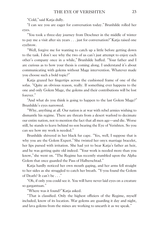"Cold," said Katja dully.

"I can see you are eager for conversation today." Brunhilde rolled her eyes.

"You took a three-day journey from Deschner in the middle of winter to pay me a visit after six years . . . just for conversation?" Katja raised one eyebrow.

"Well, forgive me for wanting to catch up a little before getting down to the task. I don't see why the two of us can't just attempt to enjoy each other's company once in a while," Brunhilde huffed. "Your father and I are curious as to how your thesis is coming along. I understand it's about communicating with golems without Mage intervention. Whatever made you choose such a bold topic?"

Katja grazed her fingertips across the cushioned frame of one of the sofas. "Quite an obvious reason, really. If something ever happens to the one and only Golem Mage, the golems and their contributions will be lost forever."

"And what do you think is going to happen to the last Golem Mage?" Brunhilde's eyes narrowed.

"Why, anything at all. Our nation is at war with rebel armies wishing to dismantle his regime. There are threats from a desert warlord to decimate our entire nation, not to mention the fact that all men age—and die. Worse still, he stands to leave behind no son bearing the Eye of Verishten. So you can see how my work is needed."

Brunhilde shivered in her black fur cape. "Yes, well, I suppose that is why you are the Golem Expert." She twisted her onyx marriage bracelet, her lips pursed with irritation. She had yet to bear Katja's father an heir, and he was getting quite old indeed. "Your work is needed more than you know," she went on. "The Regime has recently stumbled upon the Alpha Golem that once guarded the Pass of Halberschtad."

Katja hardly noticed her own mouth gaping, and her arms fell straight to her sides as she struggled to catch her breath. "Y-you found the Golem of Death? It can't be . . ."

"Oh, if only you could see it. You will have never laid eyes on a creature so gargantuan."

"Where was it found?" Katja asked.

"That is classified. Only the highest offiziers of the Regime, myself included, know of its location. War golems are guarding it day and night, and lava golems from the mines are working to unearth it as we speak."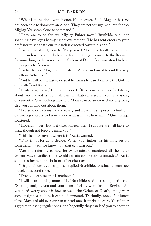"What is to be done with it once it's uncovered? No Mage in history has been able to dominate an Alpha. They are not for any man, but for the Mighty Verishten alone to command."

"They are to be for our Mighty Führer now," Brunhilde said, her sparkling hazel eyes betraying her excitement. "He has sent orders to your professor to see that your research is directed toward his end."

"Toward what end, exactly?" Katja asked. She could hardly believe that her research would actually be used for something so crucial to the Regime, for something as dangerous as the Golem of Death. She was afraid to hear her stepmother's answer.

"To be the first Mage to dominate an Alpha, and use it to end this silly rebellion. Why else?"

"And he will be the last to do so if he thinks he can dominate the Golem of Death," said Katja.

"Hush now, Dove," Brunhilde cooed. "It is your father you're talking about, and his orders are final. Curtail whatever research you have going on currently. Start looking into how Alphas can be awakened and anything else you can find out about them."

"I've studied golems for six years, and now I'm supposed to find out everything there is to know about Alphas in just how many? One?" Katja sputtered.

"Hopefully, yes. But if it takes longer, then I suppose we will have to wait, though not forever, mind you."

"Tell them to leave it where it is," Katja warned.

"That is not for us to decide. When your father has his mind set on something—well, we know how that can turn out."

"Are you referring to how he systematically murdered all the other Golem Mage families so he would remain completely unimpeded?" Katja said, crossing her arms in front of her chest again.

"To put it bluntly . . . I suppose," replied Brunhilde, twisting her marriage bracelet a second time.

"Even you can see this is madness!"

"I will hear nothing more of it," Brunhilde said in a sharpened tone. "Starting tonight, you and your team officially work for the Regime. All you need worry about is how to wake the Golem of Death, and garner some insights as to how it can be dominated. Truthfully, none of us know if the Mages of old ever *tried* to control one. It might be easy. Your father suggests studying regular ones, and hopefully they can lead you to another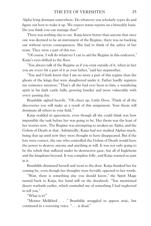Alpha lying dormant somewhere. Do whatever you scholarly types do and figure out how to wake it up. We expect status reports on a biweekly basis. Do you think you can manage that?"

There was nothing else to say. Katja knew better than anyone that once one was deemed to be an instrument of the Regime, there was no backing out without severe consequences. She had to think of the safety of her team. They were a part of this too.

"Of course. I will do whatever I can to aid the Regime in this endeavor," Katja's eyes drifted to the floor.

"You always talk of the Regime as if you exist outside of it, when in fact you are every bit a part of it as your father," said her stepmother.

"You and I both know that I am no more a part of this regime than the ghosts of the kings that were slaughtered under it. Father hardly registers my existence anymore." That's all she had ever been to him, a wandering spirit in his dark castle halls, growing lonelier and more vulnerable with every passing day.

Brunhilde sighed heavily. "Oh cheer up, Little Dove. Think of all the discoveries you will make as a result of this assignment. Your thesis will dominate all others in your field."

Katja nodded in agreement, even though all she could think was how impossible the task before her was going to be. Her thesis was the least of her worries now. The Regime was attempting to awaken an Alpha, and the Golem of Death at that. Admittedly, Katja had not studied Alphas much, being that up until now they were thought to have disappeared. But if the lore were correct, the one who controlled the Golem of Death would have the power to destroy anyone and anything at will. It was not only going to be the rebels that suffered under its destructive gaze, but all of Ingleheim and the kingdoms beyond. It was complete folly, and Katja wanted no part in it.

Brunhilde dismissed herself and went to the door. Katja thanked her for coming by, even though her thoughts were fervidly opposed to her words.

"Wait, there is something else you should know," the Spirit Mage turned back to Katja, her hand still on the doorknob. "You mentioned desert warlords earlier, which reminded me of something I had neglected to tell you."

"What is it?"

"Meister Melikheil . . ." Brunhilde struggled to appear stoic, but continued in a wavering voice. ". . . is dead."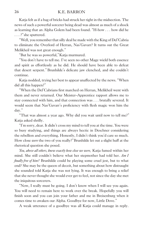Katja felt as if a bag of bricks had struck her right in the midsection. The news of such a powerful sorcerer being dead was almost as much of a shock as learning that an Alpha Golem had been found. "H-how . . . how did he . . . ?" she sputtered.

"Well, you remember that silly deal he made with the King of Del'Cabria to eliminate the Overlord of Herran, Nas'Gavarr? It turns out the Great Melikheil was not great enough."

"But he was so powerful," Katja murmured.

"You don't have to tell me. I've seen no other Mage wield both essence and spirit as effortlessly as he did. He should have been able to defeat that desert serpent." Brunhilde's delicate jaw clenched, and she couldn't continue.

Katja nodded, trying her best to appear unaffected by the news. "When did all this happen?"

"When the Del'Cabrians first marched on Herran, Melikheil went with them and never returned. Our Meister–Apprentice rapport allows me to stay connected with him, and that connection was . . . brutally severed. It would seem that Nas'Gavarr's proficiency with flesh magic won him the day."

"That was almost a year ago. Why did you wait until now to tell me?" Katja asked shrilly.

"I'm sorry, dear. It didn't cross my mind to tell you at the time. You were so busy studying, and things are always hectic in Deschner considering the rebellion and everything. Honestly, I didn't think you'd care so much. How close *were* the two of you really?" Brunhilde let out a slight huff at the rhetorical question she posed.

*You, above all others, knew exactly how close we were,* Katja fumed within her mind. She still couldn't believe what her stepmother had told her. *Am I finally free of him?* Brunhilde could be playing some cruel jest, but to what end? She may be the queen of deceit, but something about how distraught she sounded told Katja she was not lying. It was enough to bring a relief that she never thought she would ever get to feel, not since the day she met the iniquitous sorcerers.

"Now, I really must be going. I don't know when I will see you again. You will need to remain here to work over the break. Hopefully you will finish soon and you can join your father and me in Breisenburg when it comes time to awaken our Alpha. Goodbye for now, Little Dove."

A weak utterance of a goodbye was all Katja could manage in reply.